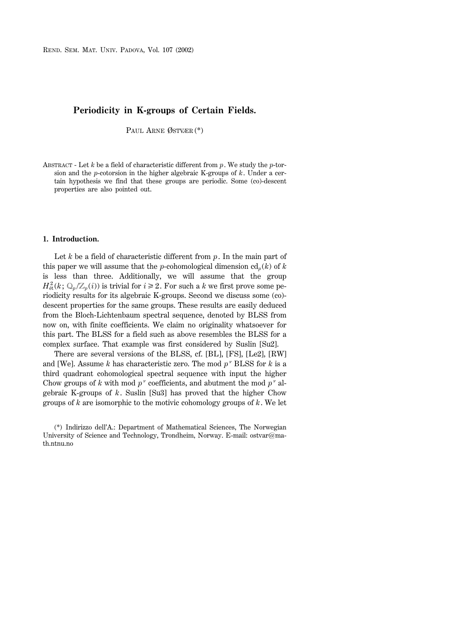REND. SEM. MAT. UNIV. PADOVA, Vol. 107 (2002)

# **Periodicity in K-groups of Certain Fields.**

PAUL ARNE ØSTVÆR (\*)

ABSTRACT - Let *k* be a field of characteristic different from *p*. We study the *p*-torsion and the *p*-cotorsion in the higher algebraic K-groups of *k*. Under a certain hypothesis we find that these groups are periodic. Some (co)-descent properties are also pointed out.

## **1. Introduction.**

Let  $k$  be a field of characteristic different from  $p$ . In the main part of this paper we will assume that the *p*-cohomological dimension  $\text{cd}_p(k)$  of *k* is less than three. Additionally, we will assume that the group  $H^2_{\text{\'et}}(k; \mathbb{Q}_p/\mathbb{Z}_p(i))$  is trivial for  $i \geq 2$ . For such a *k* we first prove some periodicity results for its algebraic K-groups. Second we discuss some (co) descent properties for the same groups. These results are easily deduced from the Bloch-Lichtenbaum spectral sequence, denoted by BLSS from now on, with finite coefficients. We claim no originality whatsoever for this part. The BLSS for a field such as above resembles the BLSS for a complex surface. That example was first considered by Suslin [Su2].

There are several versions of the BLSS, cf. [BL], [FS], [Le2], [RW] and [We]. Assume  $k$  has characteristic zero. The mod  $p^{\nu}$  BLSS for  $k$  is a third quadrant cohomological spectral sequence with input the higher Chow groups of *k* with mod  $p^{\nu}$  coefficients, and abutment the mod  $p^{\nu}$  algebraic K-groups of *k*. Suslin [Su3] has proved that the higher Chow groups of *k* are isomorphic to the motivic cohomology groups of *k*. We let

<sup>(\*)</sup> Indirizzo dell'A.: Department of Mathematical Sciences, The Norwegian University of Science and Technology, Trondheim, Norway. E-mail: ostvar $@$ math ntnu no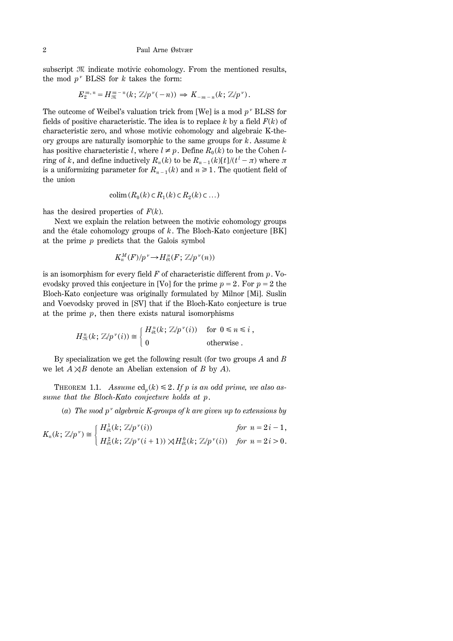subscript  $M$  indicate motivic cohomology. From the mentioned results, the mod  $p^{\nu}$  BLSS for *k* takes the form:

$$
E_2^{m,n}=H_{{\mathfrak K}}^{m-n}(k;\, {\mathbb Z}/p^{\nu}(-n))\Rightarrow K_{-m-n}(k;\, {\mathbb Z}/p^{\nu}).
$$

The outcome of Weibel's valuation trick from [We] is a mod  $p^{\nu}$  BLSS for fields of positive characteristic. The idea is to replace *k* by a field *F*(*k*) of characteristic zero, and whose motivic cohomology and algebraic K-theory groups are naturally isomorphic to the same groups for *k*. Assume *k* has positive characteristic *l*, where  $l \neq p$ . Define  $R_0(k)$  to be the Cohen *l*ring of *k*, and define inductively  $R_n(k)$  to be  $R_{n-1}(k)[t]/(t^l - \pi)$  where  $\pi$ is a uniformizing parameter for  $R_{n-1}(k)$  and  $n \ge 1$ . The quotient field of the union

$$
\operatorname{colim}\left(R_0(k)\subset R_1(k)\subset R_2(k)\subset\ldots\right)
$$

has the desired properties of  $F(k)$ .

Next we explain the relation between the motivic cohomology groups and the étale cohomology groups of *k*. The Bloch-Kato conjecture [BK] at the prime *p* predicts that the Galois symbol

$$
K_n^M(F)/p^{\nu} \to H^n_{\text{\'et}}(F; \mathbb{Z}/p^{\nu}(n))
$$

is an isomorphism for every field *F* of characteristic different from *p*. Voevodsky proved this conjecture in [Vo] for the prime  $p = 2$ . For  $p = 2$  the Bloch-Kato conjecture was originally formulated by Milnor [Mi]. Suslin and Voevodsky proved in [SV] that if the Bloch-Kato conjecture is true at the prime  $p$ , then there exists natural isomorphisms

$$
H_{\mathfrak{M}}^{n}(k; \mathbb{Z}/p^{\nu}(i)) \cong \begin{cases} H_{\text{\'et}}^{n}(k; \mathbb{Z}/p^{\nu}(i)) & \text{for } 0 \leq n \leq i, \\ 0 & \text{otherwise.} \end{cases}
$$

By specialization we get the following result (for two groups *A* and *B* we let  $A \rtimes B$  denote an Abelian extension of *B* by *A*).

THEOREM 1.1. Assume  $\text{cd}_p(k) \leq 2$ . If p is an odd prime, we also as*sume that the Bloch-Kato conjecture holds at p*.

(a) The mod  $p^{\nu}$  algebraic K-groups of k are given up to extensions by

$$
K_n(k; \mathbb{Z}/p^{\nu}) \cong \begin{cases} H^1_{\text{\'et}}(k; \mathbb{Z}/p^{\nu}(i)) & \text{for } n = 2i - 1, \\ H^2_{\text{\'et}}(k; \mathbb{Z}/p^{\nu}(i+1)) \rtimes H^0_{\text{\'et}}(k; \mathbb{Z}/p^{\nu}(i)) & \text{for } n = 2i > 0. \end{cases}
$$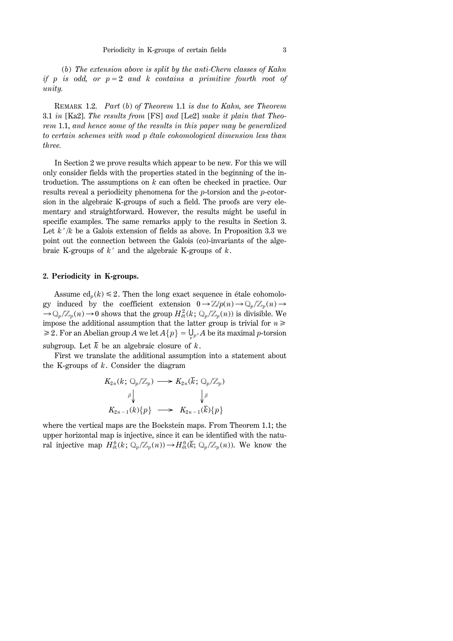(*b*) *The extension above is split by the anti-Chern classes of Kahn if p is odd, or*  $p=2$  *and k contains a primitive fourth root of unity.*

REMARK 1.2. *Part* (*b*) *of Theorem* 1.1 *is due to Kahn, see Theorem* 3.1 *in* [Ka2]. *The results from* [FS] *and* [Le2] *make it plain that Theorem* 1.1, *and hence some of the results in this paper may be generalized to certain schemes with mod p étale cohomological dimension less than three.*

In Section 2 we prove results which appear to be new. For this we will only consider fields with the properties stated in the beginning of the introduction. The assumptions on *k* can often be checked in practice. Our results reveal a periodicity phenomena for the *p*-torsion and the *p*-cotorsion in the algebraic K-groups of such a field. The proofs are very elementary and straightforward. However, the results might be useful in specific examples. The same remarks apply to the results in Section 3. Let  $k'/k$  be a Galois extension of fields as above. In Proposition 3.3 we point out the connection between the Galois (co)-invariants of the algebraic K-groups of  $k'$  and the algebraic K-groups of  $k$ .

# **2. Periodicity in K-groups.**

Assume  $\text{cd}_p(k) \leq 2$ . Then the long exact sequence in étale cohomology induced by the coefficient extension  $0 \rightarrow \mathbb{Z}/p(n) \rightarrow \mathbb{Q}_p/\mathbb{Z}_p(n) \rightarrow$  $\to Q_p/\mathbb{Z}_p(n) \to 0$  shows that the group  $H^2_{\text{\'et}}(k; \mathbb{Q}_p/\mathbb{Z}_p(n))$  is divisible. We impose the additional assumption that the latter group is trivial for  $n \geq$  $\geq$  2. For an Abelian group *A* we let  $A\{p\} = \bigcup_{p^{\nu}} A$  be its maximal *p*-torsion subgroup. Let  $\overline{k}$  be an algebraic closure of  $k$ .

First we translate the additional assumption into a statement about the K-groups of *k*. Consider the diagram

$$
K_{2n}(k; \mathbb{Q}_p/\mathbb{Z}_p) \longrightarrow K_{2n}(\bar{k}; \mathbb{Q}_p/\mathbb{Z}_p)
$$
  

$$
\downarrow^{\beta} \qquad \qquad \downarrow^{\beta}
$$
  

$$
K_{2n-1}(k)\{p\} \longrightarrow K_{2n-1}(\bar{k})\{p\}
$$

where the vertical maps are the Bockstein maps. From Theorem 1.1; the upper horizontal map is injective, since it can be identified with the natural injective map  $H^0_{\text{\'et}}(k; \mathbb{Q}_p/\mathbb{Z}_p(n)) \to H^0_{\text{\'et}}(\bar{k}; \mathbb{Q}_p/\mathbb{Z}_p(n))$ . We know the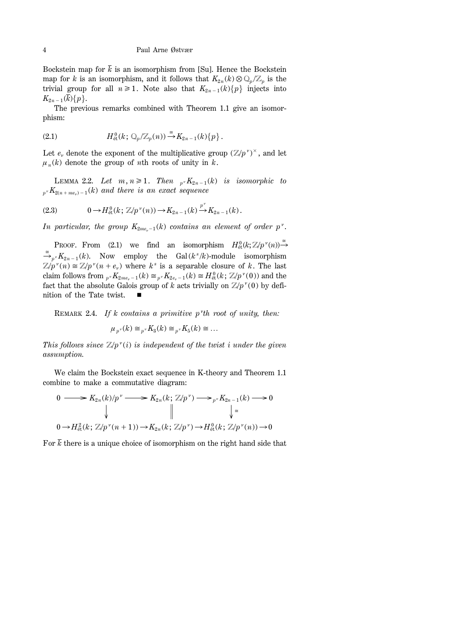Bockstein map for  $\bar{k}$  is an isomorphism from [Su]. Hence the Bockstein map for *k* is an isomorphism, and it follows that  $K_{2n}(k) \otimes \mathbb{Q}_p/\mathbb{Z}_p$  is the trivial group for all  $n \ge 1$ . Note also that  $K_{2n-1}(k)$  injects into  $K_{2n-1}(\bar{k})\{p\}.$ 

The previous remarks combined with Theorem 1.1 give an isomorphism:

(2.1) 
$$
H^0_{\text{\'et}}(k; \mathbb{Q}_p/\mathbb{Z}_p(n)) \stackrel{\cong}{\rightarrow} K_{2n-1}(k)\{p\}.
$$

Let  $e_v$  denote the exponent of the multiplicative group  $(\mathbb{Z}/p^v)^{\times}$ , and let  $\mu_n(k)$  denote the group of *n*th roots of unity in *k*.

LEMMA 2.2. Let  $m, n \geq 1$ . Then  $p \cdot K_{2n-1}(k)$  is isomorphic to  $p^v K_{2(n + me_v) - 1}(k)$  *and there is an exact sequence* 

(2.3) 
$$
0 \to H^0_{\text{\'et}}(k; \mathbb{Z}/p^{\nu}(n)) \to K_{2n-1}(k) \xrightarrow{p^{\nu}} K_{2n-1}(k).
$$

*In particular, the group*  $K_{2me<sub>n-1</sub>}(k)$  *contains an element of order p<sup>n</sup>*.

PROOF. From (2.1) we find an isomorphism  $H^0_{\text{\'et}}(k; \mathbb{Z}/p^{\nu}(n)) \stackrel{\cong}{\rightarrow}$  $\stackrel{\cong}{\longrightarrow}_{p} K_{2n-1}(k)$ . Now employ the Gal  $(k^s/k)$ -module isomorphism  $\mathbb{Z}/p^{\nu}(n) \cong \mathbb{Z}/p^{\nu}(n+e_{\nu})$  where  $k^s$  is a separable closure of k. The last claim follows from  ${}_{p}$  *v*  $K_{2me_r-1}(k) \cong {}_{p}$  *v*  $K_{2e_r-1}(k) \cong H_{\text{\'et}}^0(k; \mathbb{Z}/p^{\nu}(0))$  and the fact that the absolute Galois group of *k* acts trivially on  $\mathbb{Z}/p^{\nu}(0)$  by definition of the Tate twist.

REMARK 2.4. If k contains a primitive p'th root of unity, then:

$$
\mu_{p^{\nu}}(k) \cong_{p^{\nu}} K_3(k) \cong_{p^{\nu}} K_5(k) \cong \dots
$$

*This follows since*  $\mathbb{Z}/p^{\nu}(i)$  *is independent of the twist i under the given assumption.*

We claim the Bockstein exact sequence in K-theory and Theorem 1.1 combine to make a commutative diagram:

$$
0 \longrightarrow K_{2n}(k)/p^{\nu} \longrightarrow K_{2n}(k; \mathbb{Z}/p^{\nu}) \longrightarrow_{p^{\nu}} K_{2n-1}(k) \longrightarrow 0
$$
  
\n
$$
\downarrow \qquad \qquad \downarrow \qquad \qquad \downarrow \qquad \qquad \downarrow \qquad \qquad \downarrow \qquad \qquad \downarrow \qquad \qquad \downarrow \qquad \qquad \downarrow \qquad \downarrow
$$
  
\n
$$
0 \longrightarrow H_{\text{\'et}}^2(k; \mathbb{Z}/p^{\nu}(n+1)) \longrightarrow K_{2n}(k; \mathbb{Z}/p^{\nu}) \longrightarrow H_{\text{\'et}}^0(k; \mathbb{Z}/p^{\nu}(n)) \longrightarrow 0
$$

For  $\bar{k}$  there is a unique choice of isomorphism on the right hand side that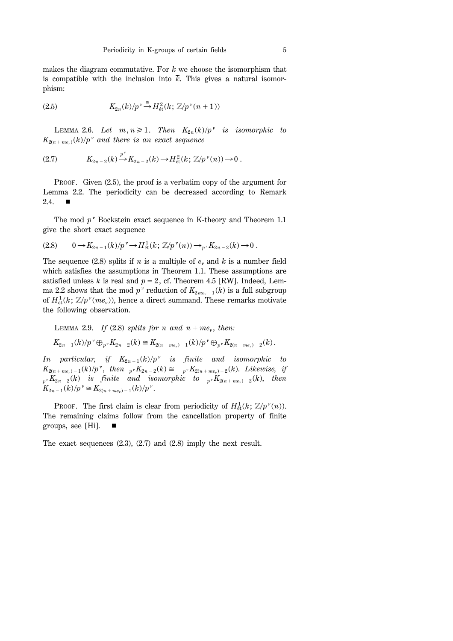makes the diagram commutative. For *k* we choose the isomorphism that is compatible with the inclusion into  $\bar{k}$ . This gives a natural isomorphism:

(2.5) 
$$
K_{2n}(k)/p^{\nu} \stackrel{\cong}{\rightarrow} H^2_{\text{\'et}}(k; \mathbb{Z}/p^{\nu}(n+1))
$$

LEMMA 2.6. Let  $m, n \geq 1$ . Then  $K_{2n}(k)/p^{\nu}$  is isomorphic to  $K_{2(n + me_n)}(k)/p^{\nu}$  and there is an exact sequence

(2.7) 
$$
K_{2n-2}(k) \xrightarrow{p^{\nu}} K_{2n-2}(k) \to H^2_{\text{\'et}}(k; \mathbb{Z}/p^{\nu}(n)) \to 0.
$$

PROOF. Given (2.5), the proof is a verbatim copy of the argument for Lemma 2.2. The periodicity can be decreased according to Remark 2.4.  $\blacksquare$ 

The mod  $p^{\nu}$  Bockstein exact sequence in K-theory and Theorem 1.1 give the short exact sequence

$$
(2.8) \t 0 \to K_{2n-1}(k)/p^{\nu} \to H^1_{\text{\'et}}(k; \mathbb{Z}/p^{\nu}(n)) \to_{p^{\nu}} K_{2n-2}(k) \to 0.
$$

The sequence (2.8) splits if *n* is a multiple of  $e<sub>v</sub>$  and *k* is a number field which satisfies the assumptions in Theorem 1.1. These assumptions are satisfied unless *k* is real and  $p = 2$ , cf. Theorem 4.5 [RW]. Indeed, Lemma 2.2 shows that the mod  $p^{\nu}$  reduction of  $K_{2me_{\nu}-1}(k)$  is a full subgroup of  $H^1_{\text{\'et}}(k; \mathbb{Z}/p^{\nu}(me_{\nu}))$ , hence a direct summand. These remarks motivate the following observation.

LEMMA 2.9. If (2.8) splits for n and 
$$
n + me_v
$$
, then:  
\n $K_{2n-1}(k)/p^v \bigoplus_{p^v} K_{2n-2}(k) \cong K_{2(n+me_v)-1}(k)/p^v \bigoplus_{p^v} K_{2(n+me_v)-2}(k)$ .

*In particular, if*  $K_{2n-1}(k)/p^v$  *is finite and isomorphic to*  $K_{2(n + me_y) - 1}(k)/p^{\nu}$ , then  $p^{\nu} K_{2n-2}(k) \cong p^{\nu} K_{2(n + me_y) - 2}(k)$ . *Likewise, if*  $p \cdot K_{2n-2}(k)$  *is finite and isomorphic to*  $p \cdot K_{2(n+me_y)-2}(k)$ , *then*  $K_{2n-1}(k)/p^{\nu} \cong K_{2(n+me_{\nu})-1}(k)/p^{\nu}$ .

PROOF. The first claim is clear from periodicity of  $H^1_{\text{\'et}}(k; \mathbb{Z}/p^{\nu}(n))$ . The remaining claims follow from the cancellation property of finite groups, see [Hi].  $\blacksquare$ 

The exact sequences (2.3), (2.7) and (2.8) imply the next result.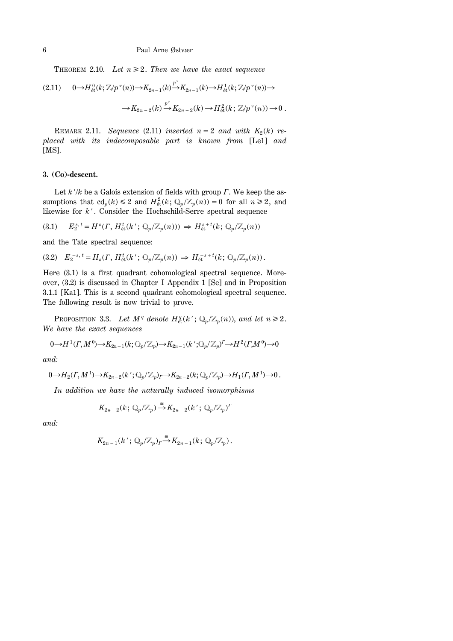THEOREM 2.10. Let  $n \geq 2$ . Then we have the exact sequence

$$
(2.11) \quad 0 \to H_{\text{\'et}}^{0}(k; \mathbb{Z}/p^{\nu}(n)) \to K_{2n-1}(k) \xrightarrow{p^{\nu}} K_{2n-1}(k) \to H_{\text{\'et}}^{1}(k; \mathbb{Z}/p^{\nu}(n)) \to
$$

$$
\to K_{2n-2}(k) \xrightarrow{p^{\nu}} K_{2n-2}(k) \to H_{\text{\'et}}^{2}(k; \mathbb{Z}/p^{\nu}(n)) \to 0.
$$

REMARK 2.11. *Sequence* (2.11) *inserted*  $n = 2$  *and with*  $K_2(k)$  *replaced with its indecomposable part is known from* [Le1] *and* [MS].

## **3. (Co)-descent.**

Let  $k'/k$  be a Galois extension of fields with group  $\Gamma$ . We keep the assumptions that  $\text{cd}_p(k) \leq 2$  and  $H^2_{\text{\'et}}(k; \mathbb{Q}_p/\mathbb{Z}_p(n)) = 0$  for all  $n \geq 2$ , and likewise for  $k'$ . Consider the Hochschild-Serre spectral sequence

$$
(3.1) \tE_2^{s,t} = H^s(\Gamma, H^t_{\text{\'et}}(k'; \mathbb{Q}_p/\mathbb{Z}_p(n))) \Rightarrow H^{s+t}_{\text{\'et}}(k; \mathbb{Q}_p/\mathbb{Z}_p(n))
$$

and the Tate spectral sequence:

$$
(3.2) \quad E_2^{-s, t} = H_s(\Gamma, H^t_{\text{\'et}}(k'; \mathbb{Q}_p/\mathbb{Z}_p(n)) \Rightarrow H^{-s+t}_{\text{\'et}}(k; \mathbb{Q}_p/\mathbb{Z}_p(n)).
$$

Here (3.1) is a first quadrant cohomological spectral sequence. Moreover, (3.2) is discussed in Chapter I Appendix 1 [Se] and in Proposition 3.1.1 [Ka1]. This is a second quadrant cohomological spectral sequence. The following result is now trivial to prove.

PROPOSITION 3.3. Let  $M^q$  denote  $H^q_{\text{\'et}}(k'; \mathbb{Q}_p/\mathbb{Z}_p(n))$ , and let  $n \geq 2$ . *We have the exact sequences*

$$
0 \rightarrow H^1(\Gamma, M^0) \rightarrow K_{2n-1}(k; \mathbb{Q}_p/\mathbb{Z}_p) \rightarrow K_{2n-1}(k'; \mathbb{Q}_p/\mathbb{Z}_p)^{\Gamma} \rightarrow H^2(\Gamma, M^0) \rightarrow 0
$$

*and:*

$$
0 \to H_2(\Gamma, M^1) \to K_{2n-2}(k'; \mathbb{Q}_p/\mathbb{Z}_p)_\Gamma \to K_{2n-2}(k; \mathbb{Q}_p/\mathbb{Z}_p) \to H_1(\Gamma, M^1) \to 0.
$$

*In addition we have the naturally induced isomorphisms*

$$
K_{2n-2}(k; \mathbb{Q}_p/\mathbb{Z}_p) \stackrel{\cong}{\rightarrow} K_{2n-2}(k'; \mathbb{Q}_p/\mathbb{Z}_p)^{\Gamma}
$$

*and:*

$$
K_{2n-1}(k'; \mathbb{Q}_p/\mathbb{Z}_p)_r \stackrel{\cong}{\rightarrow} K_{2n-1}(k; \mathbb{Q}_p/\mathbb{Z}_p).
$$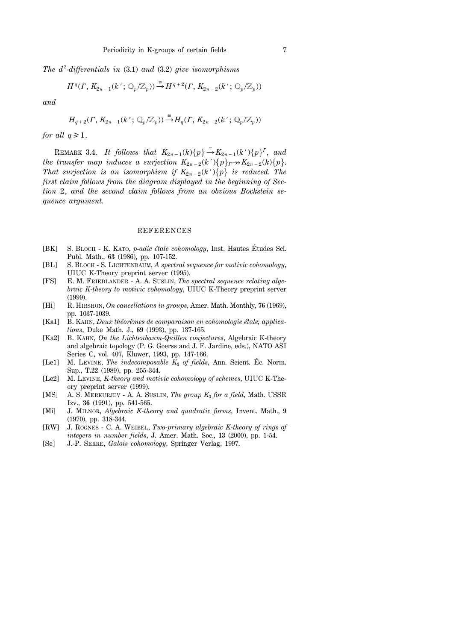*The d* <sup>2</sup> *-differentials in* (3.1) *and* (3.2) *give isomorphisms*

$$
H^q(\Gamma, K_{2n-1}(k'; \mathbb{Q}_p/\mathbb{Z}_p)) \stackrel{\cong}{\rightarrow} H^{q+2}(\Gamma, K_{2n-2}(k'; \mathbb{Q}_p/\mathbb{Z}_p))
$$

*and*

$$
H_{q+2}(\Gamma, K_{2n-1}(k'; \mathbb{Q}_p/\mathbb{Z}_p)) \stackrel{\cong}{\rightarrow} H_q(\Gamma, K_{2n-2}(k'; \mathbb{Q}_p/\mathbb{Z}_p))
$$

*for all*  $q \geq 1$ .

REMARK 3.4. *It follows that*  $K_{2n-1}(k){p} \stackrel{\cong}{\to} K_{2n-1}(k'){p}^{\Gamma}$ , and *the transfer map induces a surjection*  $K_{2n-2}(k')\{p\}_r \rightarrow K_{2n-2}(k)\{p\}.$ *That surjection is an isomorphism if*  $K_{2n-2}(k')\{p\}$  *is reduced. The first claim follows from the diagram displayed in the beginning of Section* 2, *and the second claim follows from an obvious Bockstein sequence argument.*

#### REFERENCES

- [BK] S. BLOCH K. KATO, *p*-*adic étale cohomology*, Inst. Hautes Études Sci. Publ. Math., **63** (1986), pp. 107-152.
- [BL] S. BLOCH S. LICHTENBAUM, *A spectral sequence for motivic cohomology*, UIUC K-Theory preprint server (1995).
- [FS] E. M. FRIEDLANDER A. A. SUSLIN, *The spectral sequence relating algebraic K-theory to motivic cohomology*, UIUC K-Theory preprint server (1999).
- [Hi] R. HIRSHON, *On cancellations in groups*, Amer. Math. Monthly, **76** (1969), pp. 1037-1039.
- [Ka1] B. KAHN, *Deux théorèmes de comparaison en cohomologie étale; applications*, Duke Math. J., **69** (1993), pp. 137-165.
- [Ka2] B. KAHN, *On the Lichtenbaum-Quillen conjectures*, Algebraic K-theory and algebraic topology (P. G. Goerss and J. F. Jardine, eds.), NATO ASI Series C, vol. 407, Kluwer, 1993, pp. 147-166.
- [Le1] M. LEVINE, *The indecomposable K*<sub>3</sub> of fields, Ann. Scient. Éc. Norm. Sup., **T.22** (1989), pp. 255-344.
- [Le2] M. LEVINE, *K-theory and motivic cohomology of schemes*, UIUC K-Theory preprint server (1999).
- [MS] A. S. MERKURJEV A. A. SUSLIN, *The group K*<sup>3</sup> *for a field*, Math. USSR Izv., **36** (1991), pp. 541-565.
- [Mi] J. MILNOR, *Algebraic K-theory and quadratic forms*, Invent. Math., **9** (1970), pp. 318-344.
- [RW] J. ROGNES C. A. WEIBEL, *Two-primary algebraic K-theory of rings of integers in number fields*, J. Amer. Math. Soc., **13** (2000), pp. 1-54.
- [Se] J.-P. SERRE, *Galois cohomology*, Springer Verlag, 1997.